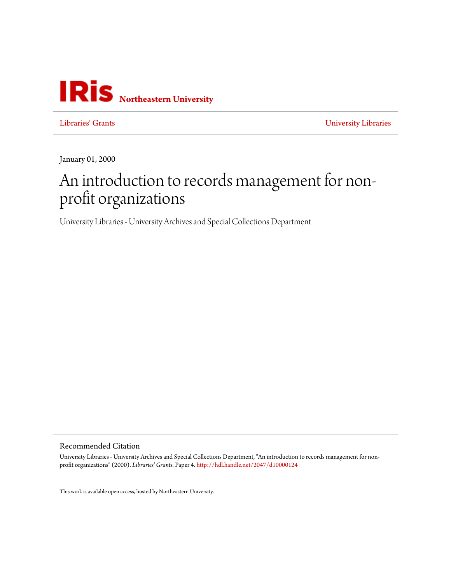

[Libraries' Grants](http://iris.lib.neu.edu/libraries_grants) [University Libraries](http://iris.lib.neu.edu/libraries)

January 01, 2000

## An introduction to records management for nonprofit organizations

University Libraries - University Archives and Special Collections Department

Recommended Citation

University Libraries - University Archives and Special Collections Department, "An introduction to records management for nonprofit organizations" (2000). *Libraries' Grants.* Paper 4. <http://hdl.handle.net/2047/d10000124>

This work is available open access, hosted by Northeastern University.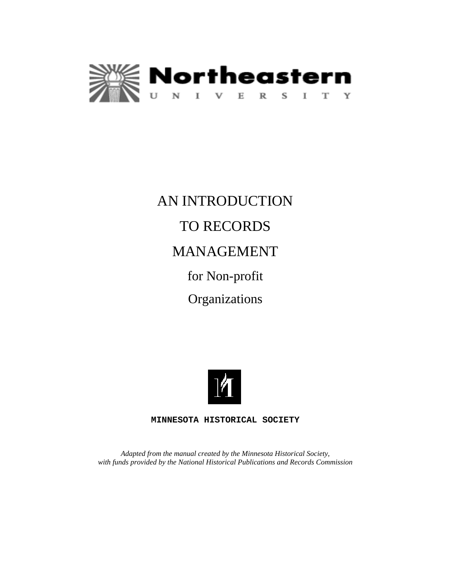

# AN INTRODUCTION TO RECORDS MANAGEMENT for Non-profit **Organizations**



**MINNESOTA HISTORICAL SOCIETY**

*Adapted from the manual created by the Minnesota Historical Society, with funds provided by the National Historical Publications and Records Commission*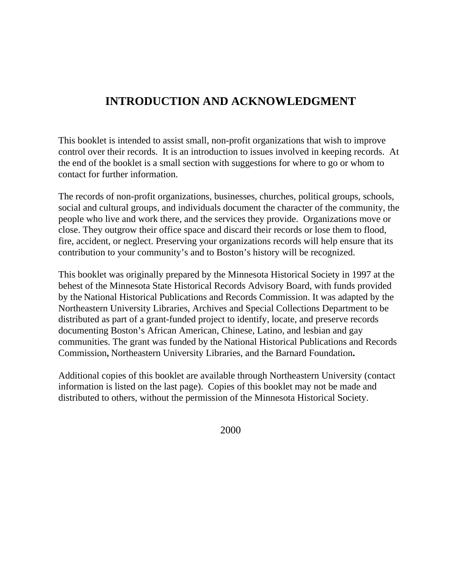## **INTRODUCTION AND ACKNOWLEDGMENT**

This booklet is intended to assist small, non-profit organizations that wish to improve control over their records. It is an introduction to issues involved in keeping records. At the end of the booklet is a small section with suggestions for where to go or whom to contact for further information.

The records of non-profit organizations, businesses, churches, political groups, schools, social and cultural groups, and individuals document the character of the community, the people who live and work there, and the services they provide. Organizations move or close. They outgrow their office space and discard their records or lose them to flood, fire, accident, or neglect. Preserving your organizations records will help ensure that its contribution to your community's and to Boston's history will be recognized.

This booklet was originally prepared by the Minnesota Historical Society in 1997 at the behest of the Minnesota State Historical Records Advisory Board, with funds provided by the National Historical Publications and Records Commission. It was adapted by the Northeastern University Libraries, Archives and Special Collections Department to be distributed as part of a grant-funded project to identify, locate, and preserve records documenting Boston's African American, Chinese, Latino, and lesbian and gay communities. The grant was funded by the National Historical Publications and Records Commission**,** Northeastern University Libraries, and the Barnard Foundation**.** 

Additional copies of this booklet are available through Northeastern University (contact information is listed on the last page). Copies of this booklet may not be made and distributed to others, without the permission of the Minnesota Historical Society.

2000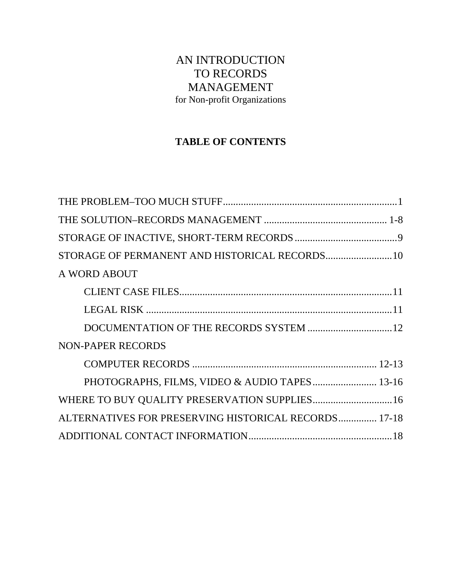## AN INTRODUCTION TO RECORDS MANAGEMENT for Non-profit Organizations

### **TABLE OF CONTENTS**

| A WORD ABOUT                                         |  |
|------------------------------------------------------|--|
|                                                      |  |
|                                                      |  |
|                                                      |  |
| <b>NON-PAPER RECORDS</b>                             |  |
|                                                      |  |
| PHOTOGRAPHS, FILMS, VIDEO & AUDIO TAPES 13-16        |  |
| WHERE TO BUY QUALITY PRESERVATION SUPPLIES 16        |  |
| ALTERNATIVES FOR PRESERVING HISTORICAL RECORDS 17-18 |  |
|                                                      |  |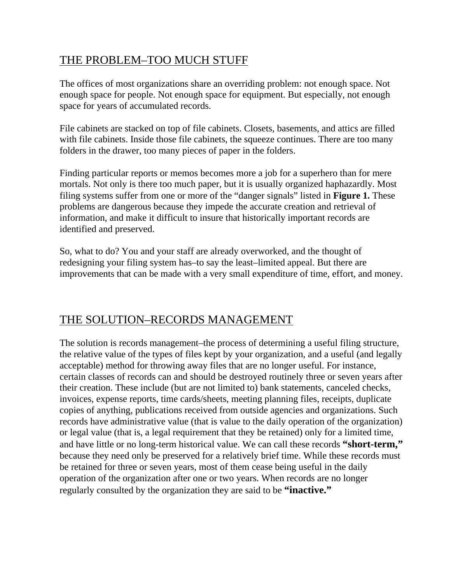## THE PROBLEM–TOO MUCH STUFF

The offices of most organizations share an overriding problem: not enough space. Not enough space for people. Not enough space for equipment. But especially, not enough space for years of accumulated records.

File cabinets are stacked on top of file cabinets. Closets, basements, and attics are filled with file cabinets. Inside those file cabinets, the squeeze continues. There are too many folders in the drawer, too many pieces of paper in the folders.

Finding particular reports or memos becomes more a job for a superhero than for mere mortals. Not only is there too much paper, but it is usually organized haphazardly. Most filing systems suffer from one or more of the "danger signals" listed in **Figure 1.** These problems are dangerous because they impede the accurate creation and retrieval of information, and make it difficult to insure that historically important records are identified and preserved.

So, what to do? You and your staff are already overworked, and the thought of redesigning your filing system has–to say the least–limited appeal. But there are improvements that can be made with a very small expenditure of time, effort, and money.

## THE SOLUTION–RECORDS MANAGEMENT

The solution is records management–the process of determining a useful filing structure, the relative value of the types of files kept by your organization, and a useful (and legally acceptable) method for throwing away files that are no longer useful. For instance, certain classes of records can and should be destroyed routinely three or seven years after their creation. These include (but are not limited to) bank statements, canceled checks, invoices, expense reports, time cards/sheets, meeting planning files, receipts, duplicate copies of anything, publications received from outside agencies and organizations. Such records have administrative value (that is value to the daily operation of the organization) or legal value (that is, a legal requirement that they be retained) only for a limited time, and have little or no long-term historical value. We can call these records **"short-term,"** because they need only be preserved for a relatively brief time. While these records must be retained for three or seven years, most of them cease being useful in the daily operation of the organization after one or two years. When records are no longer regularly consulted by the organization they are said to be **"inactive."**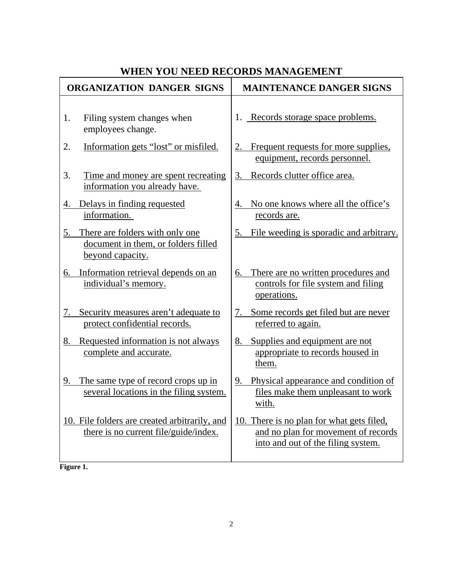## **WHEN YOU NEED RECORDS MANAGEMENT**

| <b>ORGANIZATION DANGER SIGNS</b>                                                                 | <b>MAINTENANCE DANGER SIGNS</b>                                                                                        |
|--------------------------------------------------------------------------------------------------|------------------------------------------------------------------------------------------------------------------------|
| Filing system changes when<br>1.<br>employees change.                                            | 1. Records storage space problems.                                                                                     |
| 2.<br>Information gets "lost" or misfiled.                                                       | 2. Frequent requests for more supplies,<br>equipment, records personnel.                                               |
| 3.<br>Time and money are spent recreating<br>information you already have.                       | 3. Records clutter office area.                                                                                        |
| Delays in finding requested<br>4.<br>information.                                                | No one knows where all the office's<br>4.<br>records are.                                                              |
| There are folders with only one<br>5.<br>document in them, or folders filled<br>beyond capacity. | 5. File weeding is sporadic and arbitrary.                                                                             |
| 6. Information retrieval depends on an<br>individual's memory.                                   | 6. There are no written procedures and<br>controls for file system and filing<br>operations.                           |
| Security measures aren't adequate to<br>7.<br>protect confidential records.                      | Some records get filed but are never<br>7.<br>referred to again.                                                       |
| Requested information is not always<br>8.<br>complete and accurate.                              | Supplies and equipment are not<br>8.<br>appropriate to records housed in<br>them.                                      |
| 9. The same type of record crops up in<br>several locations in the filing system.                | 9. Physical appearance and condition of<br>files make them unpleasant to work<br>with.                                 |
| 10. File folders are created arbitrarily, and<br>there is no current file/guide/index.           | 10. There is no plan for what gets filed,<br>and no plan for movement of records<br>into and out of the filing system. |

**Figure 1.**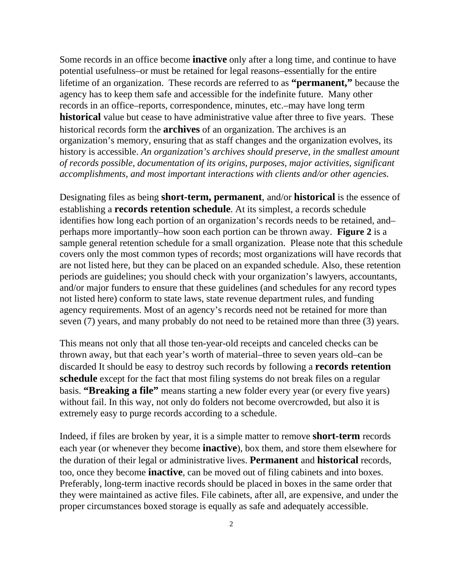Some records in an office become **inactive** only after a long time, and continue to have potential usefulness–or must be retained for legal reasons–essentially for the entire lifetime of an organization. These records are referred to as **"permanent,"** because the agency has to keep them safe and accessible for the indefinite future. Many other records in an office–reports, correspondence, minutes, etc.–may have long term **historical** value but cease to have administrative value after three to five years. These historical records form the **archives** of an organization. The archives is an organization's memory, ensuring that as staff changes and the organization evolves, its history is accessible. *An organization's archives should preserve, in the smallest amount of records possible, documentation of its origins, purposes, major activities, significant accomplishments, and most important interactions with clients and/or other agencies.* 

Designating files as being **short-term, permanent**, and/or **historical** is the essence of establishing a **records retention schedule**. At its simplest, a records schedule identifies how long each portion of an organization's records needs to be retained, and– perhaps more importantly–how soon each portion can be thrown away. **Figure 2** is a sample general retention schedule for a small organization. Please note that this schedule covers only the most common types of records; most organizations will have records that are not listed here, but they can be placed on an expanded schedule. Also, these retention periods are guidelines; you should check with your organization's lawyers, accountants, and/or major funders to ensure that these guidelines (and schedules for any record types not listed here) conform to state laws, state revenue department rules, and funding agency requirements. Most of an agency's records need not be retained for more than seven (7) years, and many probably do not need to be retained more than three (3) years.

This means not only that all those ten-year-old receipts and canceled checks can be thrown away, but that each year's worth of material–three to seven years old–can be discarded It should be easy to destroy such records by following a **records retention schedule** except for the fact that most filing systems do not break files on a regular basis. **"Breaking a file"** means starting a new folder every year (or every five years) without fail. In this way, not only do folders not become overcrowded, but also it is extremely easy to purge records according to a schedule.

Indeed, if files are broken by year, it is a simple matter to remove **short-term** records each year (or whenever they become **inactive**), box them, and store them elsewhere for the duration of their legal or administrative lives. **Permanent** and **historical** records, too, once they become **inactive**, can be moved out of filing cabinets and into boxes. Preferably, long-term inactive records should be placed in boxes in the same order that they were maintained as active files. File cabinets, after all, are expensive, and under the proper circumstances boxed storage is equally as safe and adequately accessible.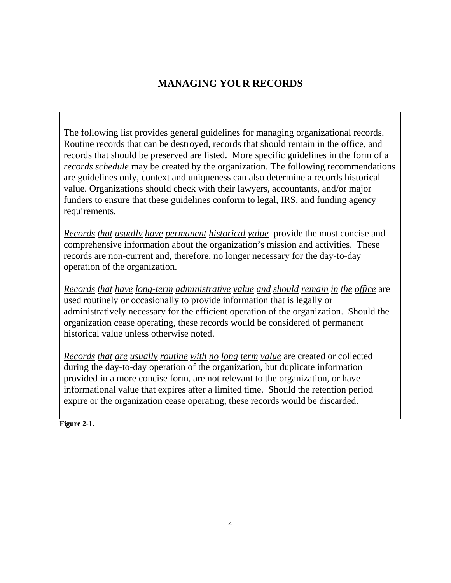## **MANAGING YOUR RECORDS**

The following list provides general guidelines for managing organizational records. Routine records that can be destroyed, records that should remain in the office, and records that should be preserved are listed. More specific guidelines in the form of a *records schedule* may be created by the organization. The following recommendations are guidelines only, context and uniqueness can also determine a records historical value. Organizations should check with their lawyers, accountants, and/or major funders to ensure that these guidelines conform to legal, IRS, and funding agency requirements.

*Records that usually have permanent historical value* provide the most concise and comprehensive information about the organization's mission and activities. These records are non-current and, therefore, no longer necessary for the day-to-day operation of the organization.

*Records that have long-term administrative value and should remain in the office* are used routinely or occasionally to provide information that is legally or administratively necessary for the efficient operation of the organization. Should the organization cease operating, these records would be considered of permanent historical value unless otherwise noted.

*Records that are usually routine with no long term value* are created or collected during the day-to-day operation of the organization, but duplicate information provided in a more concise form, are not relevant to the organization, or have informational value that expires after a limited time. Should the retention period expire or the organization cease operating, these records would be discarded.

**Figure 2-1.**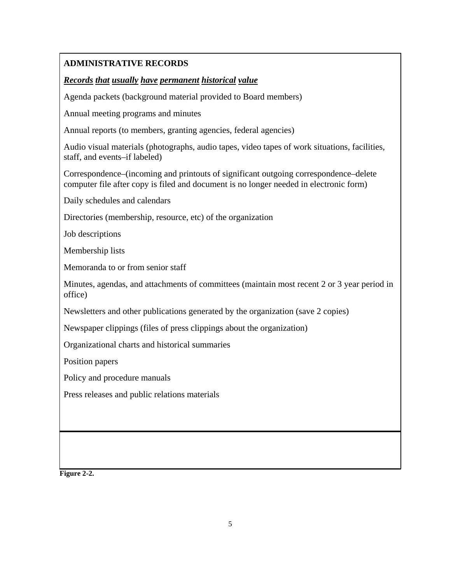#### **ADMINISTRATIVE RECORDS**

#### *Records that usually have permanent historical value*

Agenda packets (background material provided to Board members)

Annual meeting programs and minutes

Annual reports (to members, granting agencies, federal agencies)

Audio visual materials (photographs, audio tapes, video tapes of work situations, facilities, staff, and events–if labeled)

Correspondence–(incoming and printouts of significant outgoing correspondence–delete computer file after copy is filed and document is no longer needed in electronic form)

Daily schedules and calendars

Directories (membership, resource, etc) of the organization

Job descriptions

Membership lists

Memoranda to or from senior staff

Minutes, agendas, and attachments of committees (maintain most recent 2 or 3 year period in office)

Newsletters and other publications generated by the organization (save 2 copies)

Newspaper clippings (files of press clippings about the organization)

Organizational charts and historical summaries

Position papers

Policy and procedure manuals

Press releases and public relations materials

**Figure 2-2.**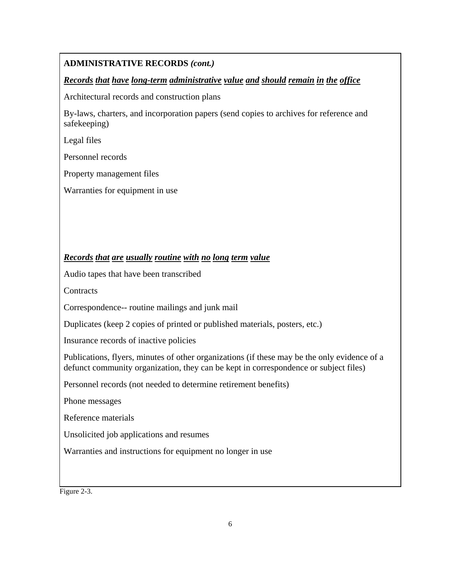#### **ADMINISTRATIVE RECORDS** *(cont.)*

#### *Records that have long-term administrative value and should remain in the office*

Architectural records and construction plans

By-laws, charters, and incorporation papers (send copies to archives for reference and safekeeping)

Legal files

Personnel records

Property management files

Warranties for equipment in use

#### *Records that are usually routine with no long term value*

Audio tapes that have been transcribed

**Contracts** 

Correspondence-- routine mailings and junk mail

Duplicates (keep 2 copies of printed or published materials, posters, etc.)

Insurance records of inactive policies

Publications, flyers, minutes of other organizations (if these may be the only evidence of a defunct community organization, they can be kept in correspondence or subject files)

Personnel records (not needed to determine retirement benefits)

Phone messages

Reference materials

Unsolicited job applications and resumes

Warranties and instructions for equipment no longer in use

Figure 2-3.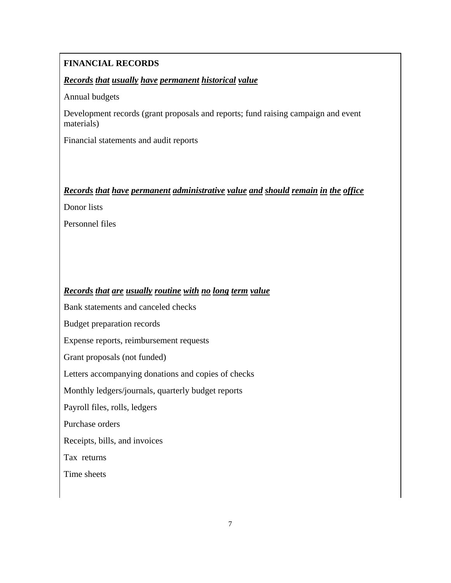#### **FINANCIAL RECORDS**

#### *Records that usually have permanent historical value*

Annual budgets

Development records (grant proposals and reports; fund raising campaign and event materials)

Financial statements and audit reports

#### *Records that have permanent administrative value and should remain in the office*

Donor lists

Personnel files

#### *Records that are usually routine with no long term value*

Bank statements and canceled checks

Budget preparation records

Expense reports, reimbursement requests

Grant proposals (not funded)

Letters accompanying donations and copies of checks

Monthly ledgers/journals, quarterly budget reports

Payroll files, rolls, ledgers

Purchase orders

Receipts, bills, and invoices

Tax returns

Time sheets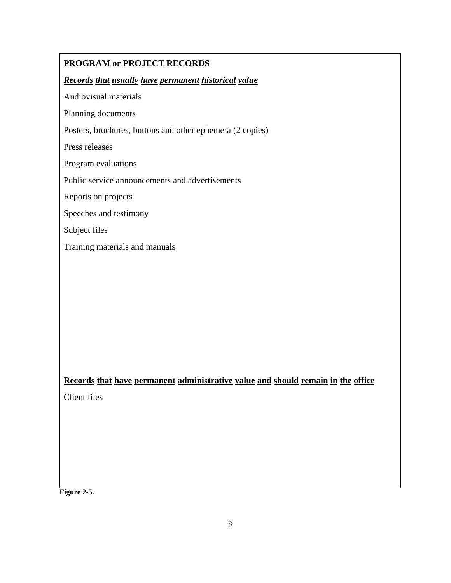#### **PROGRAM or PROJECT RECORDS**

#### *Records that usually have permanent historical value*

Audiovisual materials

Planning documents

Posters, brochures, buttons and other ephemera (2 copies)

Press releases

Program evaluations

Public service announcements and advertisements

Reports on projects

Speeches and testimony

Subject files

Training materials and manuals

#### **Records that have permanent administrative value and should remain in the office**

Client files

**Figure 2-5.**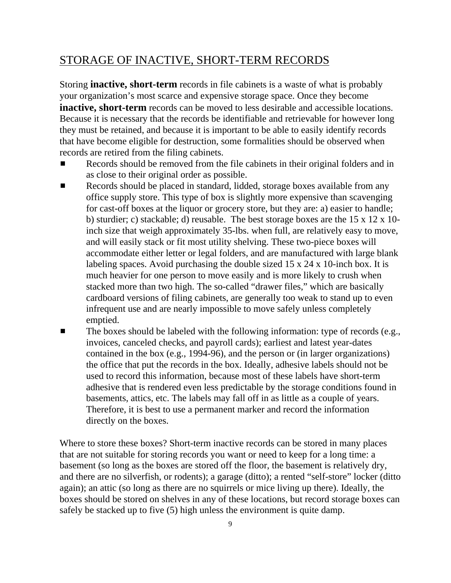## STORAGE OF INACTIVE, SHORT-TERM RECORDS

Storing **inactive, short-term** records in file cabinets is a waste of what is probably your organization's most scarce and expensive storage space. Once they become **inactive, short-term** records can be moved to less desirable and accessible locations. Because it is necessary that the records be identifiable and retrievable for however long they must be retained, and because it is important to be able to easily identify records that have become eligible for destruction, some formalities should be observed when records are retired from the filing cabinets.

- Records should be removed from the file cabinets in their original folders and in as close to their original order as possible.
- **EXECORD** Records should be placed in standard, lidded, storage boxes available from any office supply store. This type of box is slightly more expensive than scavenging for cast-off boxes at the liquor or grocery store, but they are: a) easier to handle; b) sturdier; c) stackable; d) reusable. The best storage boxes are the 15 x 12 x 10 inch size that weigh approximately 35-lbs. when full, are relatively easy to move, and will easily stack or fit most utility shelving. These two-piece boxes will accommodate either letter or legal folders, and are manufactured with large blank labeling spaces. Avoid purchasing the double sized 15 x 24 x 10-inch box. It is much heavier for one person to move easily and is more likely to crush when stacked more than two high. The so-called "drawer files," which are basically cardboard versions of filing cabinets, are generally too weak to stand up to even infrequent use and are nearly impossible to move safely unless completely emptied.
- $\blacksquare$  The boxes should be labeled with the following information: type of records (e.g., invoices, canceled checks, and payroll cards); earliest and latest year-dates contained in the box (e.g., 1994-96), and the person or (in larger organizations) the office that put the records in the box. Ideally, adhesive labels should not be used to record this information, because most of these labels have short-term adhesive that is rendered even less predictable by the storage conditions found in basements, attics, etc. The labels may fall off in as little as a couple of years. Therefore, it is best to use a permanent marker and record the information directly on the boxes.

Where to store these boxes? Short-term inactive records can be stored in many places that are not suitable for storing records you want or need to keep for a long time: a basement (so long as the boxes are stored off the floor, the basement is relatively dry, and there are no silverfish, or rodents); a garage (ditto); a rented "self-store" locker (ditto again); an attic (so long as there are no squirrels or mice living up there). Ideally, the boxes should be stored on shelves in any of these locations, but record storage boxes can safely be stacked up to five (5) high unless the environment is quite damp.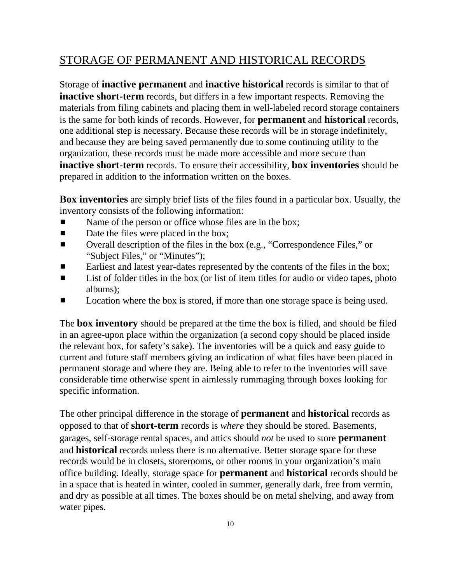## STORAGE OF PERMANENT AND HISTORICAL RECORDS

Storage of **inactive permanent** and **inactive historical** records is similar to that of **inactive short-term** records, but differs in a few important respects. Removing the materials from filing cabinets and placing them in well-labeled record storage containers is the same for both kinds of records. However, for **permanent** and **historical** records, one additional step is necessary. Because these records will be in storage indefinitely, and because they are being saved permanently due to some continuing utility to the organization, these records must be made more accessible and more secure than **inactive short-term** records. To ensure their accessibility, **box inventories** should be prepared in addition to the information written on the boxes.

**Box inventories** are simply brief lists of the files found in a particular box. Usually, the inventory consists of the following information:

- Name of the person or office whose files are in the box;
- $\blacksquare$  Date the files were placed in the box;
- **EXECUTE:** Overall description of the files in the box (e.g., "Correspondence Files," or "Subject Files," or "Minutes");
- **Earliest and latest year-dates represented by the contents of the files in the box;**
- $\blacksquare$  List of folder titles in the box (or list of item titles for audio or video tapes, photo albums);
- **EXECUTE:** Location where the box is stored, if more than one storage space is being used.

The **box inventory** should be prepared at the time the box is filled, and should be filed in an agree-upon place within the organization (a second copy should be placed inside the relevant box, for safety's sake). The inventories will be a quick and easy guide to current and future staff members giving an indication of what files have been placed in permanent storage and where they are. Being able to refer to the inventories will save considerable time otherwise spent in aimlessly rummaging through boxes looking for specific information.

The other principal difference in the storage of **permanent** and **historical** records as opposed to that of **short-term** records is *where* they should be stored. Basements, garages, self-storage rental spaces, and attics should *not* be used to store **permanent**  and **historical** records unless there is no alternative. Better storage space for these records would be in closets, storerooms, or other rooms in your organization's main office building. Ideally, storage space for **permanent** and **historical** records should be in a space that is heated in winter, cooled in summer, generally dark, free from vermin, and dry as possible at all times. The boxes should be on metal shelving, and away from water pipes.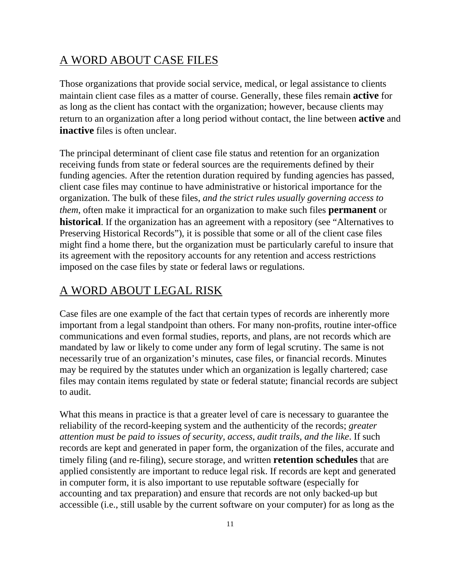## A WORD ABOUT CASE FILES

Those organizations that provide social service, medical, or legal assistance to clients maintain client case files as a matter of course. Generally, these files remain **active** for as long as the client has contact with the organization; however, because clients may return to an organization after a long period without contact, the line between **active** and **inactive** files is often unclear.

The principal determinant of client case file status and retention for an organization receiving funds from state or federal sources are the requirements defined by their funding agencies. After the retention duration required by funding agencies has passed, client case files may continue to have administrative or historical importance for the organization. The bulk of these files, *and the strict rules usually governing access to them*, often make it impractical for an organization to make such files **permanent** or **historical**. If the organization has an agreement with a repository (see "Alternatives to Preserving Historical Records"), it is possible that some or all of the client case files might find a home there, but the organization must be particularly careful to insure that its agreement with the repository accounts for any retention and access restrictions imposed on the case files by state or federal laws or regulations.

## A WORD ABOUT LEGAL RISK

Case files are one example of the fact that certain types of records are inherently more important from a legal standpoint than others. For many non-profits, routine inter-office communications and even formal studies, reports, and plans, are not records which are mandated by law or likely to come under any form of legal scrutiny. The same is not necessarily true of an organization's minutes, case files, or financial records. Minutes may be required by the statutes under which an organization is legally chartered; case files may contain items regulated by state or federal statute; financial records are subject to audit.

What this means in practice is that a greater level of care is necessary to guarantee the reliability of the record-keeping system and the authenticity of the records; *greater attention must be paid to issues of security, access, audit trails, and the like*. If such records are kept and generated in paper form, the organization of the files, accurate and timely filing (and re-filing), secure storage, and written **retention schedules** that are applied consistently are important to reduce legal risk. If records are kept and generated in computer form, it is also important to use reputable software (especially for accounting and tax preparation) and ensure that records are not only backed-up but accessible (i.e., still usable by the current software on your computer) for as long as the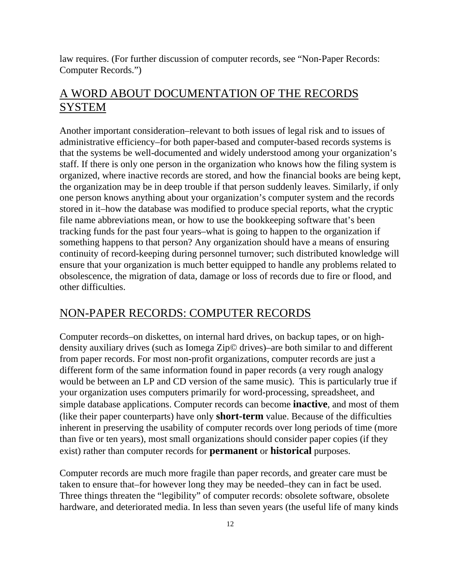law requires. (For further discussion of computer records, see "Non-Paper Records: Computer Records.")

## A WORD ABOUT DOCUMENTATION OF THE RECORDS SYSTEM

Another important consideration–relevant to both issues of legal risk and to issues of administrative efficiency–for both paper-based and computer-based records systems is that the systems be well-documented and widely understood among your organization's staff. If there is only one person in the organization who knows how the filing system is organized, where inactive records are stored, and how the financial books are being kept, the organization may be in deep trouble if that person suddenly leaves. Similarly, if only one person knows anything about your organization's computer system and the records stored in it–how the database was modified to produce special reports, what the cryptic file name abbreviations mean, or how to use the bookkeeping software that's been tracking funds for the past four years–what is going to happen to the organization if something happens to that person? Any organization should have a means of ensuring continuity of record-keeping during personnel turnover; such distributed knowledge will ensure that your organization is much better equipped to handle any problems related to obsolescence, the migration of data, damage or loss of records due to fire or flood, and other difficulties.

#### NON-PAPER RECORDS: COMPUTER RECORDS

Computer records–on diskettes, on internal hard drives, on backup tapes, or on highdensity auxiliary drives (such as Iomega Zip© drives)–are both similar to and different from paper records. For most non-profit organizations, computer records are just a different form of the same information found in paper records (a very rough analogy would be between an LP and CD version of the same music). This is particularly true if your organization uses computers primarily for word-processing, spreadsheet, and simple database applications. Computer records can become **inactive**, and most of them (like their paper counterparts) have only **short-term** value. Because of the difficulties inherent in preserving the usability of computer records over long periods of time (more than five or ten years), most small organizations should consider paper copies (if they exist) rather than computer records for **permanent** or **historical** purposes.

Computer records are much more fragile than paper records, and greater care must be taken to ensure that–for however long they may be needed–they can in fact be used. Three things threaten the "legibility" of computer records: obsolete software, obsolete hardware, and deteriorated media. In less than seven years (the useful life of many kinds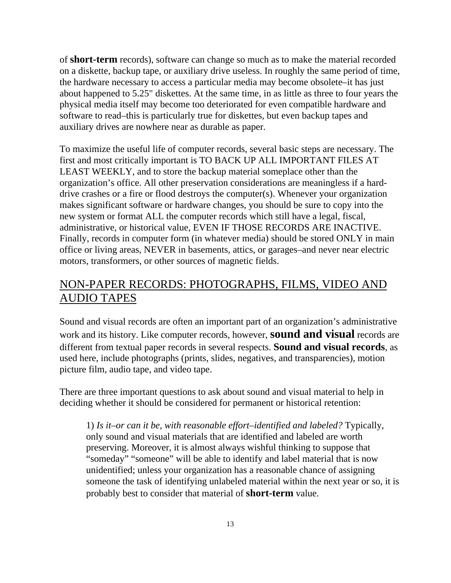of **short-term** records), software can change so much as to make the material recorded on a diskette, backup tape, or auxiliary drive useless. In roughly the same period of time, the hardware necessary to access a particular media may become obsolete–it has just about happened to 5.25" diskettes. At the same time, in as little as three to four years the physical media itself may become too deteriorated for even compatible hardware and software to read–this is particularly true for diskettes, but even backup tapes and auxiliary drives are nowhere near as durable as paper.

To maximize the useful life of computer records, several basic steps are necessary. The first and most critically important is TO BACK UP ALL IMPORTANT FILES AT LEAST WEEKLY, and to store the backup material someplace other than the organization's office. All other preservation considerations are meaningless if a harddrive crashes or a fire or flood destroys the computer(s). Whenever your organization makes significant software or hardware changes, you should be sure to copy into the new system or format ALL the computer records which still have a legal, fiscal, administrative, or historical value, EVEN IF THOSE RECORDS ARE INACTIVE. Finally, records in computer form (in whatever media) should be stored ONLY in main office or living areas, NEVER in basements, attics, or garages–and never near electric motors, transformers, or other sources of magnetic fields.

## NON-PAPER RECORDS: PHOTOGRAPHS, FILMS, VIDEO AND AUDIO TAPES

Sound and visual records are often an important part of an organization's administrative work and its history. Like computer records, however, **sound and visual** records are different from textual paper records in several respects. **Sound and visual records**, as used here, include photographs (prints, slides, negatives, and transparencies), motion picture film, audio tape, and video tape.

There are three important questions to ask about sound and visual material to help in deciding whether it should be considered for permanent or historical retention:

1) *Is it–or can it be, with reasonable effort–identified and labeled?* Typically, only sound and visual materials that are identified and labeled are worth preserving. Moreover, it is almost always wishful thinking to suppose that "someday" "someone" will be able to identify and label material that is now unidentified; unless your organization has a reasonable chance of assigning someone the task of identifying unlabeled material within the next year or so, it is probably best to consider that material of **short-term** value.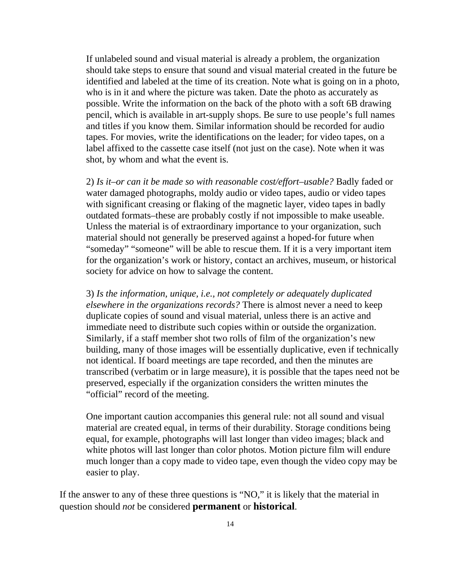If unlabeled sound and visual material is already a problem, the organization should take steps to ensure that sound and visual material created in the future be identified and labeled at the time of its creation. Note what is going on in a photo, who is in it and where the picture was taken. Date the photo as accurately as possible. Write the information on the back of the photo with a soft 6B drawing pencil, which is available in art-supply shops. Be sure to use people's full names and titles if you know them. Similar information should be recorded for audio tapes. For movies, write the identifications on the leader; for video tapes, on a label affixed to the cassette case itself (not just on the case). Note when it was shot, by whom and what the event is.

2) *Is it–or can it be made so with reasonable cost/effort–usable?* Badly faded or water damaged photographs, moldy audio or video tapes, audio or video tapes with significant creasing or flaking of the magnetic layer, video tapes in badly outdated formats–these are probably costly if not impossible to make useable. Unless the material is of extraordinary importance to your organization, such material should not generally be preserved against a hoped-for future when "someday" "someone" will be able to rescue them. If it is a very important item for the organization's work or history, contact an archives, museum, or historical society for advice on how to salvage the content.

3) *Is the information, unique, i.e., not completely or adequately duplicated elsewhere in the organizations records?* There is almost never a need to keep duplicate copies of sound and visual material, unless there is an active and immediate need to distribute such copies within or outside the organization. Similarly, if a staff member shot two rolls of film of the organization's new building, many of those images will be essentially duplicative, even if technically not identical. If board meetings are tape recorded, and then the minutes are transcribed (verbatim or in large measure), it is possible that the tapes need not be preserved, especially if the organization considers the written minutes the "official" record of the meeting.

One important caution accompanies this general rule: not all sound and visual material are created equal, in terms of their durability. Storage conditions being equal, for example, photographs will last longer than video images; black and white photos will last longer than color photos. Motion picture film will endure much longer than a copy made to video tape, even though the video copy may be easier to play.

If the answer to any of these three questions is "NO," it is likely that the material in question should *not* be considered **permanent** or **historical**.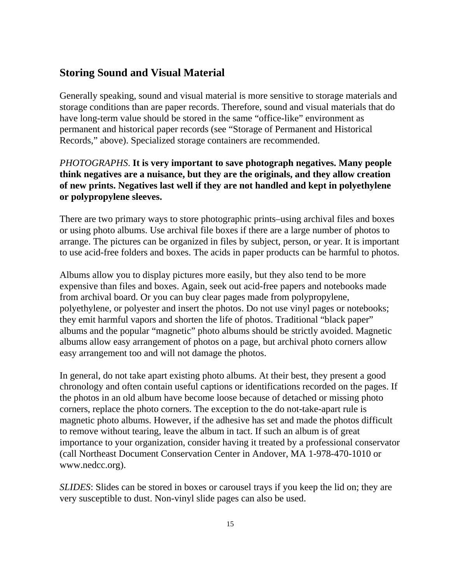#### **Storing Sound and Visual Material**

Generally speaking, sound and visual material is more sensitive to storage materials and storage conditions than are paper records. Therefore, sound and visual materials that do have long-term value should be stored in the same "office-like" environment as permanent and historical paper records (see "Storage of Permanent and Historical Records," above). Specialized storage containers are recommended.

#### *PHOTOGRAPHS*. **It is very important to save photograph negatives. Many people think negatives are a nuisance, but they are the originals, and they allow creation of new prints. Negatives last well if they are not handled and kept in polyethylene or polypropylene sleeves.**

There are two primary ways to store photographic prints–using archival files and boxes or using photo albums. Use archival file boxes if there are a large number of photos to arrange. The pictures can be organized in files by subject, person, or year. It is important to use acid-free folders and boxes. The acids in paper products can be harmful to photos.

Albums allow you to display pictures more easily, but they also tend to be more expensive than files and boxes. Again, seek out acid-free papers and notebooks made from archival board. Or you can buy clear pages made from polypropylene, polyethylene, or polyester and insert the photos. Do not use vinyl pages or notebooks; they emit harmful vapors and shorten the life of photos. Traditional "black paper" albums and the popular "magnetic" photo albums should be strictly avoided. Magnetic albums allow easy arrangement of photos on a page, but archival photo corners allow easy arrangement too and will not damage the photos.

In general, do not take apart existing photo albums. At their best, they present a good chronology and often contain useful captions or identifications recorded on the pages. If the photos in an old album have become loose because of detached or missing photo corners, replace the photo corners. The exception to the do not-take-apart rule is magnetic photo albums. However, if the adhesive has set and made the photos difficult to remove without tearing, leave the album in tact. If such an album is of great importance to your organization, consider having it treated by a professional conservator (call Northeast Document Conservation Center in Andover, MA 1-978-470-1010 or www.nedcc.org).

*SLIDES*: Slides can be stored in boxes or carousel trays if you keep the lid on; they are very susceptible to dust. Non-vinyl slide pages can also be used.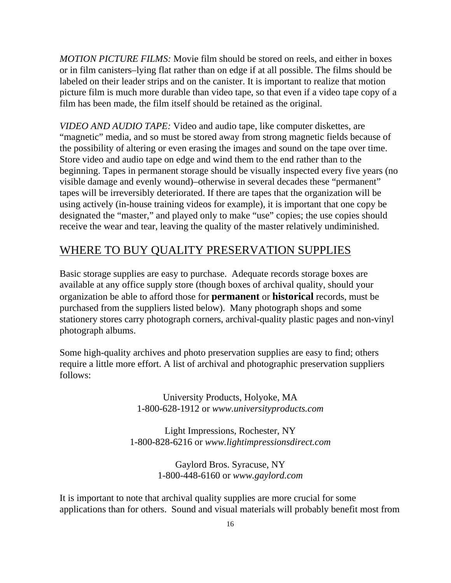*MOTION PICTURE FILMS:* Movie film should be stored on reels, and either in boxes or in film canisters–lying flat rather than on edge if at all possible. The films should be labeled on their leader strips and on the canister. It is important to realize that motion picture film is much more durable than video tape, so that even if a video tape copy of a film has been made, the film itself should be retained as the original.

*VIDEO AND AUDIO TAPE:* Video and audio tape, like computer diskettes, are "magnetic" media, and so must be stored away from strong magnetic fields because of the possibility of altering or even erasing the images and sound on the tape over time. Store video and audio tape on edge and wind them to the end rather than to the beginning. Tapes in permanent storage should be visually inspected every five years (no visible damage and evenly wound)–otherwise in several decades these "permanent" tapes will be irreversibly deteriorated. If there are tapes that the organization will be using actively (in-house training videos for example), it is important that one copy be designated the "master," and played only to make "use" copies; the use copies should receive the wear and tear, leaving the quality of the master relatively undiminished.

#### WHERE TO BUY QUALITY PRESERVATION SUPPLIES

Basic storage supplies are easy to purchase. Adequate records storage boxes are available at any office supply store (though boxes of archival quality, should your organization be able to afford those for **permanent** or **historical** records, must be purchased from the suppliers listed below). Many photograph shops and some stationery stores carry photograph corners, archival-quality plastic pages and non-vinyl photograph albums.

Some high-quality archives and photo preservation supplies are easy to find; others require a little more effort. A list of archival and photographic preservation suppliers follows:

> University Products, Holyoke, MA 1-800-628-1912 or *www.universityproducts.com*

Light Impressions, Rochester, NY 1-800-828-6216 or *www.lightimpressionsdirect.com*

> Gaylord Bros. Syracuse, NY 1-800-448-6160 or *www.gaylord.com*

It is important to note that archival quality supplies are more crucial for some applications than for others. Sound and visual materials will probably benefit most from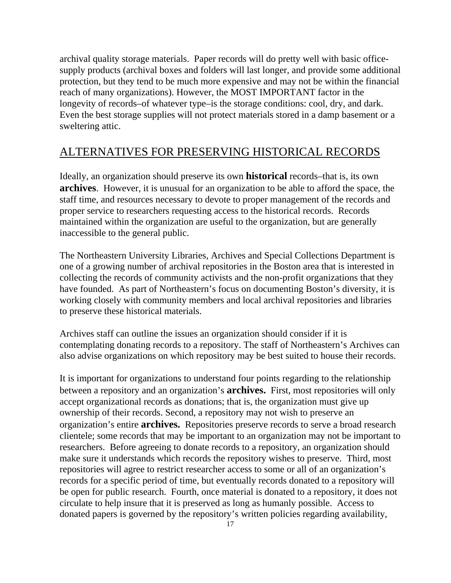archival quality storage materials. Paper records will do pretty well with basic officesupply products (archival boxes and folders will last longer, and provide some additional protection, but they tend to be much more expensive and may not be within the financial reach of many organizations). However, the MOST IMPORTANT factor in the longevity of records–of whatever type–is the storage conditions: cool, dry, and dark. Even the best storage supplies will not protect materials stored in a damp basement or a sweltering attic.

## ALTERNATIVES FOR PRESERVING HISTORICAL RECORDS

Ideally, an organization should preserve its own **historical** records–that is, its own **archives**. However, it is unusual for an organization to be able to afford the space, the staff time, and resources necessary to devote to proper management of the records and proper service to researchers requesting access to the historical records. Records maintained within the organization are useful to the organization, but are generally inaccessible to the general public.

The Northeastern University Libraries, Archives and Special Collections Department is one of a growing number of archival repositories in the Boston area that is interested in collecting the records of community activists and the non-profit organizations that they have founded. As part of Northeastern's focus on documenting Boston's diversity, it is working closely with community members and local archival repositories and libraries to preserve these historical materials.

Archives staff can outline the issues an organization should consider if it is contemplating donating records to a repository. The staff of Northeastern's Archives can also advise organizations on which repository may be best suited to house their records.

It is important for organizations to understand four points regarding to the relationship between a repository and an organization's **archives.** First, most repositories will only accept organizational records as donations; that is, the organization must give up ownership of their records. Second, a repository may not wish to preserve an organization's entire **archives.** Repositories preserve records to serve a broad research clientele; some records that may be important to an organization may not be important to researchers. Before agreeing to donate records to a repository, an organization should make sure it understands which records the repository wishes to preserve. Third, most repositories will agree to restrict researcher access to some or all of an organization's records for a specific period of time, but eventually records donated to a repository will be open for public research. Fourth, once material is donated to a repository, it does not circulate to help insure that it is preserved as long as humanly possible. Access to donated papers is governed by the repository's written policies regarding availability,